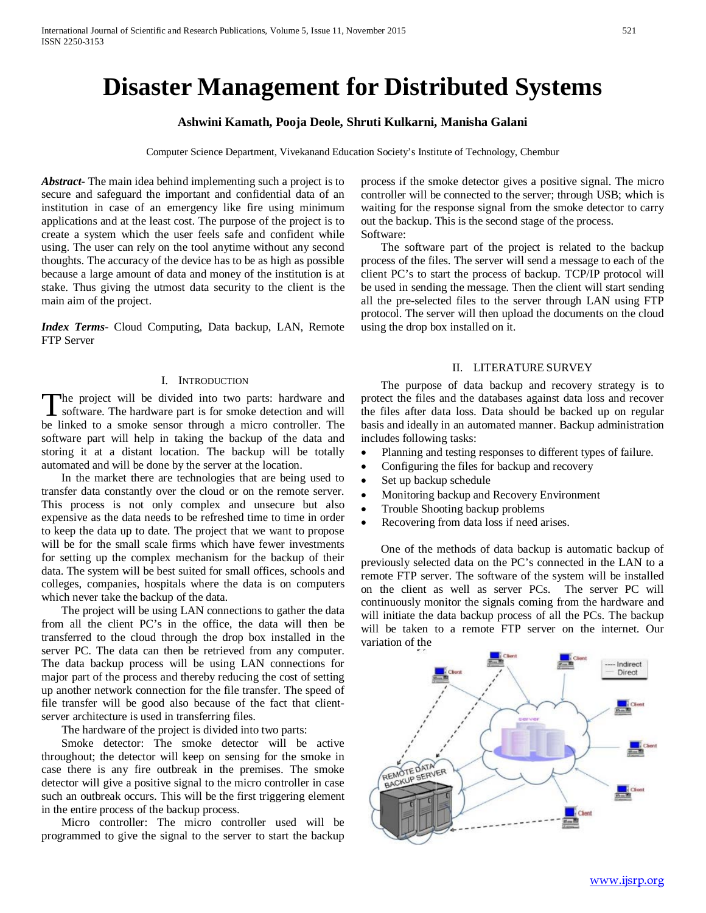# **Disaster Management for Distributed Systems**

# **Ashwini Kamath, Pooja Deole, Shruti Kulkarni, Manisha Galani**

Computer Science Department, Vivekanand Education Society's Institute of Technology, Chembur

*Abstract***-** The main idea behind implementing such a project is to secure and safeguard the important and confidential data of an institution in case of an emergency like fire using minimum applications and at the least cost. The purpose of the project is to create a system which the user feels safe and confident while using. The user can rely on the tool anytime without any second thoughts. The accuracy of the device has to be as high as possible because a large amount of data and money of the institution is at stake. Thus giving the utmost data security to the client is the main aim of the project.

*Index Terms*- Cloud Computing, Data backup, LAN, Remote FTP Server

#### I. INTRODUCTION

The project will be divided into two parts: hardware and software. The hardware part is for smoke detection and will The project will be divided into two parts: hardware and software. The hardware part is for smoke detection and will be linked to a smoke sensor through a micro controller. The software part will help in taking the backup of the data and storing it at a distant location. The backup will be totally automated and will be done by the server at the location.

 In the market there are technologies that are being used to transfer data constantly over the cloud or on the remote server. This process is not only complex and unsecure but also expensive as the data needs to be refreshed time to time in order to keep the data up to date. The project that we want to propose will be for the small scale firms which have fewer investments for setting up the complex mechanism for the backup of their data. The system will be best suited for small offices, schools and colleges, companies, hospitals where the data is on computers which never take the backup of the data.

 The project will be using LAN connections to gather the data from all the client PC's in the office, the data will then be transferred to the cloud through the drop box installed in the server PC. The data can then be retrieved from any computer. The data backup process will be using LAN connections for major part of the process and thereby reducing the cost of setting up another network connection for the file transfer. The speed of file transfer will be good also because of the fact that clientserver architecture is used in transferring files.

The hardware of the project is divided into two parts:

 Smoke detector: The smoke detector will be active throughout; the detector will keep on sensing for the smoke in case there is any fire outbreak in the premises. The smoke detector will give a positive signal to the micro controller in case such an outbreak occurs. This will be the first triggering element in the entire process of the backup process.

 Micro controller: The micro controller used will be programmed to give the signal to the server to start the backup process if the smoke detector gives a positive signal. The micro controller will be connected to the server; through USB; which is waiting for the response signal from the smoke detector to carry out the backup. This is the second stage of the process. Software:

 The software part of the project is related to the backup process of the files. The server will send a message to each of the client PC's to start the process of backup. TCP/IP protocol will be used in sending the message. Then the client will start sending all the pre-selected files to the server through LAN using FTP protocol. The server will then upload the documents on the cloud using the drop box installed on it.

#### II. LITERATURE SURVEY

 The purpose of data backup and recovery strategy is to protect the files and the databases against data loss and recover the files after data loss. Data should be backed up on regular basis and ideally in an automated manner. Backup administration includes following tasks:

- Planning and testing responses to different types of failure.
- Configuring the files for backup and recovery
- Set up backup schedule
- Monitoring backup and Recovery Environment
- Trouble Shooting backup problems
- Recovering from data loss if need arises.

 One of the methods of data backup is automatic backup of previously selected data on the PC's connected in the LAN to a remote FTP server. The software of the system will be installed on the client as well as server PCs. The server PC will continuously monitor the signals coming from the hardware and will initiate the data backup process of all the PCs. The backup will be taken to a remote FTP server on the internet. Our variation of the

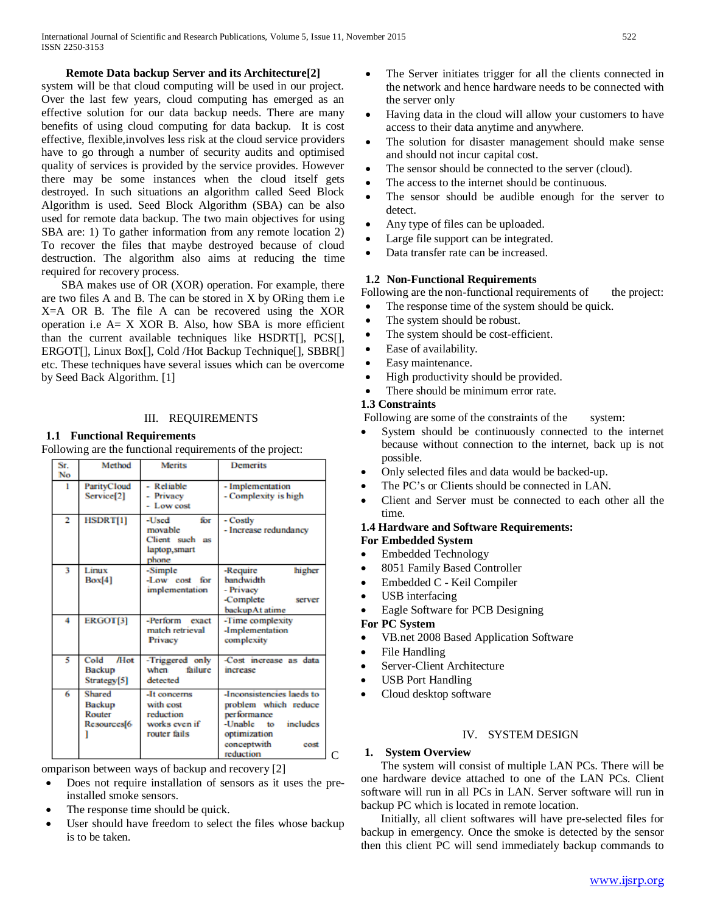#### **Remote Data backup Server and its Architecture[2]**

system will be that cloud computing will be used in our project. Over the last few years, cloud computing has emerged as an effective solution for our data backup needs. There are many benefits of using cloud computing for data backup. It is cost effective, flexible,involves less risk at the cloud service providers have to go through a number of security audits and optimised quality of services is provided by the service provides. However there may be some instances when the cloud itself gets destroyed. In such situations an algorithm called Seed Block Algorithm is used. Seed Block Algorithm (SBA) can be also used for remote data backup. The two main objectives for using SBA are: 1) To gather information from any remote location 2) To recover the files that maybe destroyed because of cloud destruction. The algorithm also aims at reducing the time required for recovery process.

 SBA makes use of OR (XOR) operation. For example, there are two files A and B. The can be stored in X by ORing them i.e X=A OR B. The file A can be recovered using the XOR operation i.e  $A = X$  XOR B. Also, how SBA is more efficient than the current available techniques like HSDRT[], PCS[], ERGOT[], Linux Box[], Cold /Hot Backup Technique[], SBBR[] etc. These techniques have several issues which can be overcome by Seed Back Algorithm. [1]

#### III. REQUIREMENTS

#### **1.1 Functional Requirements**

Following are the functional requirements of the project:

| $S_{\Gamma}$<br>No | Method                                                        | <b>Merits</b>                                                           | <b>Demerits</b>                                                                                                                                   |
|--------------------|---------------------------------------------------------------|-------------------------------------------------------------------------|---------------------------------------------------------------------------------------------------------------------------------------------------|
| 1                  | ParityCloud<br>Service[2]                                     | - Reliable<br>- Privacy<br>- Low cost                                   | - Implementation<br>- Complexity is high                                                                                                          |
| $\overline{2}$     | <b>HSDRT[1]</b>                                               | for<br>-Used<br>movable<br>Client such as<br>laptop, smart<br>phone     | - Costly<br>- Increase redundancy                                                                                                                 |
| 3                  | Linux<br>Box[4]                                               | -Simple<br>-Low cost<br>for<br>implementation                           | higher<br>-Require<br>handwidth<br>- Privacy<br>-Complete<br>server<br>backupAt atime                                                             |
| 4                  | ERGOT[3]                                                      | -Perform exact<br>match retrieval<br>Privacy                            | -Time complexity<br>-Implementation<br>complexity                                                                                                 |
| 5                  | /H <sub>ot</sub><br>Cold<br>Backup<br>Strategy[5]             | -Triggered only<br>failure<br>when<br>detected                          | -Cost increase as data<br>increase                                                                                                                |
| 6                  | Shared<br><b>Backup</b><br>Router<br>Resources <sup>[6]</sup> | -It concerns<br>with cost<br>reduction<br>works even if<br>router fails | -Inconsistencies laeds to<br>problem which reduce<br>performance<br>-Unable<br>includes<br>to<br>optimization<br>conceptwith<br>cost<br>reduction |

omparison between ways of backup and recovery [2]

- Does not require installation of sensors as it uses the preinstalled smoke sensors.
- The response time should be quick.
- User should have freedom to select the files whose backup is to be taken.
- The Server initiates trigger for all the clients connected in the network and hence hardware needs to be connected with the server only
- Having data in the cloud will allow your customers to have access to their data anytime and anywhere.
- The solution for disaster management should make sense and should not incur capital cost.
- The sensor should be connected to the server (cloud).
- The access to the internet should be continuous.
- The sensor should be audible enough for the server to detect.
- Any type of files can be uploaded.
- Large file support can be integrated.
- Data transfer rate can be increased.

#### **1.2 Non-Functional Requirements**

Following are the non-functional requirements of the project:

- The response time of the system should be quick.
- The system should be robust.
- The system should be cost-efficient.
- Ease of availability.
- Easy maintenance.
- High productivity should be provided.
- There should be minimum error rate.

# **1.3 Constraints**

Following are some of the constraints of the system:

- System should be continuously connected to the internet because without connection to the internet, back up is not possible.
- Only selected files and data would be backed-up.
- The PC's or Clients should be connected in LAN.
- Client and Server must be connected to each other all the time.

# **1.4 Hardware and Software Requirements:**

- **For Embedded System**
- Embedded Technology
- 8051 Family Based Controller
- Embedded C Keil Compiler
- USB interfacing
- Eagle Software for PCB Designing

# **For PC System**

- VB.net 2008 Based Application Software
- File Handling
- Server-Client Architecture
- USB Port Handling
- Cloud desktop software

# IV. SYSTEM DESIGN

#### **1. System Overview**

 The system will consist of multiple LAN PCs. There will be one hardware device attached to one of the LAN PCs. Client software will run in all PCs in LAN. Server software will run in backup PC which is located in remote location.

 Initially, all client softwares will have pre-selected files for backup in emergency. Once the smoke is detected by the sensor then this client PC will send immediately backup commands to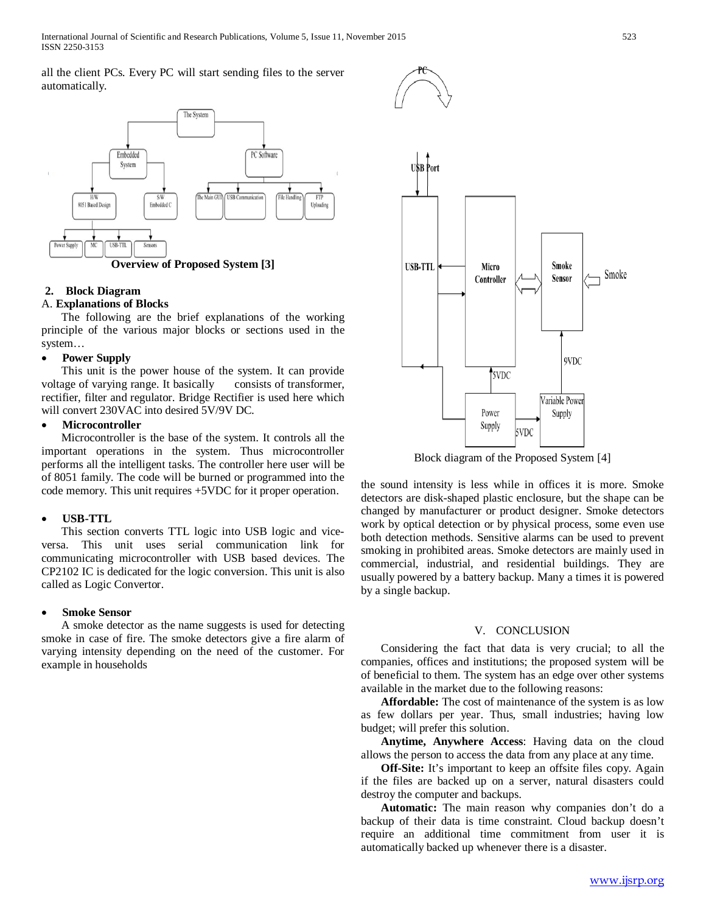all the client PCs. Every PC will start sending files to the server automatically.



**Overview of Proposed System [3]**

### **2. Block Diagram**

#### A. **Explanations of Blocks**

 The following are the brief explanations of the working principle of the various major blocks or sections used in the system…

#### • **Power Supply**

 This unit is the power house of the system. It can provide voltage of varying range. It basically consists of transformer, rectifier, filter and regulator. Bridge Rectifier is used here which will convert 230VAC into desired 5V/9V DC.

#### • **Microcontroller**

 Microcontroller is the base of the system. It controls all the important operations in the system. Thus microcontroller performs all the intelligent tasks. The controller here user will be of 8051 family. The code will be burned or programmed into the code memory. This unit requires +5VDC for it proper operation.

#### • **USB-TTL**

 This section converts TTL logic into USB logic and viceversa. This unit uses serial communication link for communicating microcontroller with USB based devices. The CP2102 IC is dedicated for the logic conversion. This unit is also called as Logic Convertor.

#### • **Smoke Sensor**

 A smoke detector as the name suggests is used for detecting smoke in case of fire. The smoke detectors give a fire alarm of varying intensity depending on the need of the customer. For example in households



Block diagram of the Proposed System [4]

the sound intensity is less while in offices it is more. Smoke detectors are disk-shaped plastic enclosure, but the shape can be changed by manufacturer or product designer. Smoke detectors work by optical detection or by physical process, some even use both detection methods. Sensitive alarms can be used to prevent smoking in prohibited areas. Smoke detectors are mainly used in commercial, industrial, and residential buildings. They are usually powered by a battery backup. Many a times it is powered by a single backup.

#### V. CONCLUSION

 Considering the fact that data is very crucial; to all the companies, offices and institutions; the proposed system will be of beneficial to them. The system has an edge over other systems available in the market due to the following reasons:

 **Affordable:** The cost of maintenance of the system is as low as few dollars per year. Thus, small industries; having low budget; will prefer this solution.

 **Anytime, Anywhere Access**: Having data on the cloud allows the person to access the data from any place at any time.

**Off-Site:** It's important to keep an offsite files copy. Again if the files are backed up on a server, natural disasters could destroy the computer and backups.

 **Automatic:** The main reason why companies don't do a backup of their data is time constraint. Cloud backup doesn't require an additional time commitment from user it is automatically backed up whenever there is a disaster.